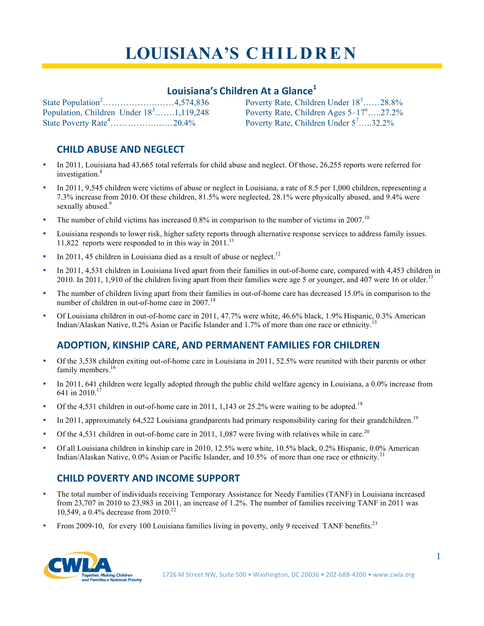# **LOUISIANA'S C H I L D R E N**

# **Louisiana's Children At a Glance1**

State Population<sup>2</sup>.............................4,574,836 Population, Children Under  $18^3$ .......1,119,248 State Poverty Rate<sup>4</sup>.........................20.4%

Poverty Rate, Children Under  $18^5$ ......28.8% Poverty Rate, Children Ages  $5-17^6$ .....27.2% Poverty Rate, Children Under 5<sup>7</sup>.....32.2%

### **CHILD ABUSE AND NEGLECT**

- In 2011, Louisiana had 43,665 total referrals for child abuse and neglect. Of those, 26,255 reports were referred for investigation.<sup>8</sup>
- In 2011, 9,545 children were victims of abuse or neglect in Louisiana, a rate of 8.5 per 1,000 children, representing a 7.3% increase from 2010. Of these children, 81.5% were neglected, 28.1% were physically abused, and 9.4% were sexually abused.<sup>9</sup>
- The number of child victims has increased 0.8% in comparison to the number of victims in 2007.<sup>10</sup>
- Louisiana responds to lower risk, higher safety reports through alternative response services to address family issues. 11,822 reports were responded to in this way in 2011.<sup>11</sup>
- In 2011, 45 children in Louisiana died as a result of abuse or neglect.<sup>12</sup>
- In 2011, 4,531 children in Louisiana lived apart from their families in out-of-home care, compared with 4,453 children in 2010. In 2011, 1,910 of the children living apart from their families were age 5 or younger, and 407 were 16 or older.<sup>13</sup>
- The number of children living apart from their families in out-of-home care has decreased 15.0% in comparison to the number of children in out-of-home care in 2007.<sup>14</sup>
- Of Louisiana children in out-of-home care in 2011, 47.7% were white, 46.6% black, 1.9% Hispanic, 0.3% American Indian/Alaskan Native, 0.2% Asian or Pacific Islander and 1.7% of more than one race or ethnicity.

# **ADOPTION, KINSHIP CARE, AND PERMANENT FAMILIES FOR CHILDREN**

- Of the 3,538 children exiting out-of-home care in Louisiana in 2011, 52.5% were reunited with their parents or other family members.<sup>16</sup>
- In 2011, 641 children were legally adopted through the public child welfare agency in Louisiana, a 0.0% increase from 641 in 2010.17
- Of the 4,531 children in out-of-home care in 2011, 1,143 or 25.2% were waiting to be adopted.<sup>18</sup>
- In 2011, approximately 64,522 Louisiana grandparents had primary responsibility caring for their grandchildren.<sup>19</sup>
- Of the 4,531 children in out-of-home care in 2011, 1,087 were living with relatives while in care.<sup>20</sup>
- Of all Louisiana children in kinship care in 2010, 12.5% were white, 10.5% black, 0.2% Hispanic, 0.0% American Indian/Alaskan Native,  $0.0\%$  Asian or Pacific Islander, and 10.5% of more than one race or ethnicity.<sup>21</sup>

# **CHILD POVERTY AND INCOME SUPPORT**

- The total number of individuals receiving Temporary Assistance for Needy Families (TANF) in Louisiana increased from 23,707 in 2010 to 23,983 in 2011, an increase of 1.2%. The number of families receiving TANF in 2011 was 10,549, a 0.4% decrease from 2010.<sup>22</sup>
- From 2009-10, for every 100 Louisiana families living in poverty, only 9 received TANF benefits.<sup>23</sup>

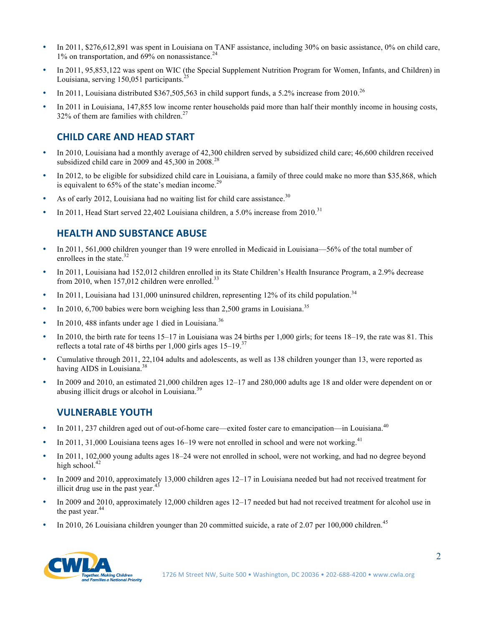- In 2011, \$276,612,891 was spent in Louisiana on TANF assistance, including 30% on basic assistance, 0% on child care,  $1\%$  on transportation, and 69% on nonassistance.<sup>24</sup>
- In 2011, 95,853,122 was spent on WIC (the Special Supplement Nutrition Program for Women, Infants, and Children) in Louisiana, serving  $150,051$  participants.<sup>2</sup>
- In 2011, Louisiana distributed \$367,505,563 in child support funds, a 5.2% increase from 2010.<sup>26</sup>
- In 2011 in Louisiana, 147,855 low income renter households paid more than half their monthly income in housing costs, 32% of them are families with children.<sup>27</sup>

#### **CHILD CARE AND HEAD START**

- In 2010, Louisiana had a monthly average of 42,300 children served by subsidized child care; 46,600 children received subsidized child care in 2009 and  $45,300$  in  $2008<sup>28</sup>$
- In 2012, to be eligible for subsidized child care in Louisiana, a family of three could make no more than \$35,868, which is equivalent to  $65\%$  of the state's median income.<sup>29</sup>
- As of early 2012, Louisiana had no waiting list for child care assistance.<sup>30</sup>
- In 2011, Head Start served 22,402 Louisiana children, a  $5.0\%$  increase from 2010.<sup>31</sup>

#### **HEALTH AND SUBSTANCE ABUSE**

- In 2011, 561,000 children younger than 19 were enrolled in Medicaid in Louisiana—56% of the total number of enrollees in the state. $32$
- In 2011, Louisiana had 152,012 children enrolled in its State Children's Health Insurance Program, a 2.9% decrease from 2010, when  $157,012$  children were enrolled.<sup>33</sup>
- In 2011, Louisiana had 131,000 uninsured children, representing 12% of its child population.<sup>34</sup>
- In 2010, 6,700 babies were born weighing less than 2,500 grams in Louisiana.<sup>35</sup>
- In 2010, 488 infants under age 1 died in Louisiana.<sup>36</sup>
- In 2010, the birth rate for teens 15–17 in Louisiana was 24 births per 1,000 girls; for teens 18–19, the rate was 81. This reflects a total rate of 48 births per 1,000 girls ages 15–19.<sup>37</sup>
- Cumulative through 2011, 22,104 adults and adolescents, as well as 138 children younger than 13, were reported as having AIDS in Louisiana.<sup>38</sup>
- In 2009 and 2010, an estimated 21,000 children ages 12–17 and 280,000 adults age 18 and older were dependent on or abusing illicit drugs or alcohol in Louisiana.<sup>39</sup>

#### **VULNERABLE YOUTH**

- In 2011, 237 children aged out of out-of-home care—exited foster care to emancipation—in Louisiana.<sup>40</sup>
- In 2011, 31,000 Louisiana teens ages  $16-19$  were not enrolled in school and were not working.<sup>41</sup>
- In 2011, 102,000 young adults ages 18–24 were not enrolled in school, were not working, and had no degree beyond high school.<sup>42</sup>
- In 2009 and 2010, approximately 13,000 children ages 12–17 in Louisiana needed but had not received treatment for illicit drug use in the past year. $4$
- In 2009 and 2010, approximately 12,000 children ages 12–17 needed but had not received treatment for alcohol use in the past year. $44$
- In 2010, 26 Louisiana children younger than 20 committed suicide, a rate of 2.07 per 100,000 children.<sup>45</sup>

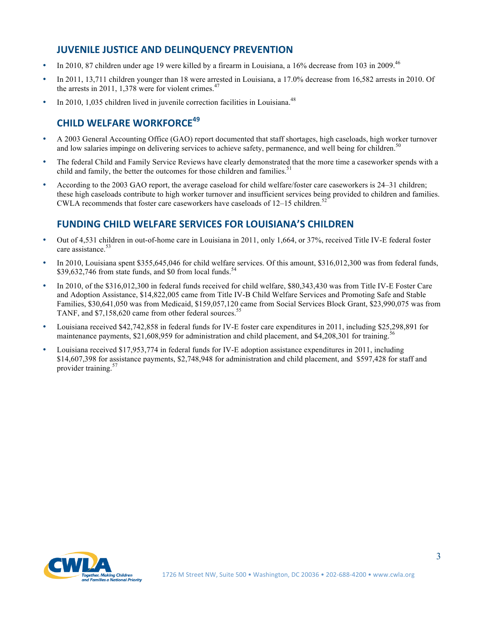#### **JUVENILE JUSTICE AND DELINQUENCY PREVENTION**

- In 2010, 87 children under age 19 were killed by a firearm in Louisiana, a 16% decrease from 103 in 2009.<sup>46</sup>
- In 2011, 13,711 children younger than 18 were arrested in Louisiana, a 17.0% decrease from 16,582 arrests in 2010. Of the arrests in 2011, 1,378 were for violent crimes. $47$
- In 2010, 1,035 children lived in juvenile correction facilities in Louisiana.<sup>48</sup>

# **CHILD WELFARE WORKFORCE<sup>49</sup>**

- A 2003 General Accounting Office (GAO) report documented that staff shortages, high caseloads, high worker turnover and low salaries impinge on delivering services to achieve safety, permanence, and well being for children.<sup>5</sup>
- The federal Child and Family Service Reviews have clearly demonstrated that the more time a caseworker spends with a child and family, the better the outcomes for those children and families.<sup>51</sup>
- According to the 2003 GAO report, the average caseload for child welfare/foster care caseworkers is 24–31 children; these high caseloads contribute to high worker turnover and insufficient services being provided to children and families. CWLA recommends that foster care caseworkers have caseloads of  $12-15$  children.<sup>52</sup>

#### **FUNDING CHILD WELFARE SERVICES FOR LOUISIANA'S CHILDREN**

- Out of 4,531 children in out-of-home care in Louisiana in 2011, only 1,664, or 37%, received Title IV-E federal foster care assistance.<sup>53</sup>
- In 2010, Louisiana spent \$355,645,046 for child welfare services. Of this amount, \$316,012,300 was from federal funds, \$39,632,746 from state funds, and \$0 from local funds.<sup>5</sup>
- In 2010, of the \$316,012,300 in federal funds received for child welfare, \$80,343,430 was from Title IV-E Foster Care and Adoption Assistance, \$14,822,005 came from Title IV-B Child Welfare Services and Promoting Safe and Stable Families, \$30,641,050 was from Medicaid, \$159,057,120 came from Social Services Block Grant, \$23,990,075 was from TANF, and \$7,158,620 came from other federal sources.<sup>55</sup>
- Louisiana received \$42,742,858 in federal funds for IV-E foster care expenditures in 2011, including \$25,298,891 for maintenance payments, \$21,608,959 for administration and child placement, and \$4,208,301 for training.<sup>5</sup>
- Louisiana received \$17,953,774 in federal funds for IV-E adoption assistance expenditures in 2011, including \$14,607,398 for assistance payments, \$2,748,948 for administration and child placement, and \$597,428 for staff and provider training.<sup>57</sup>

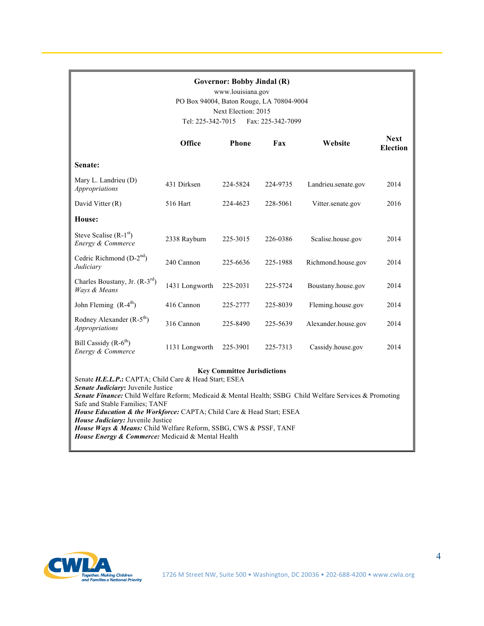| <b>Governor: Bobby Jindal (R)</b><br>www.louisiana.gov<br>PO Box 94004, Baton Rouge, LA 70804-9004<br>Next Election: 2015<br>Tel: 225-342-7015<br>Fax: 225-342-7099                                                                                                                                                                                                                          |                |              |          |                     |                                |
|----------------------------------------------------------------------------------------------------------------------------------------------------------------------------------------------------------------------------------------------------------------------------------------------------------------------------------------------------------------------------------------------|----------------|--------------|----------|---------------------|--------------------------------|
|                                                                                                                                                                                                                                                                                                                                                                                              | Office         | <b>Phone</b> | Fax      | Website             | <b>Next</b><br><b>Election</b> |
| Senate:                                                                                                                                                                                                                                                                                                                                                                                      |                |              |          |                     |                                |
| Mary L. Landrieu (D)<br><i>Appropriations</i>                                                                                                                                                                                                                                                                                                                                                | 431 Dirksen    | 224-5824     | 224-9735 | Landrieu.senate.gov | 2014                           |
| David Vitter (R)                                                                                                                                                                                                                                                                                                                                                                             | 516 Hart       | 224-4623     | 228-5061 | Vitter.senate.gov   | 2016                           |
| House:                                                                                                                                                                                                                                                                                                                                                                                       |                |              |          |                     |                                |
| Steve Scalise $(R-1st)$<br>Energy & Commerce                                                                                                                                                                                                                                                                                                                                                 | 2338 Rayburn   | 225-3015     | 226-0386 | Scalise.house.gov   | 2014                           |
| Cedric Richmond $(D-2nd)$<br>Judiciary                                                                                                                                                                                                                                                                                                                                                       | 240 Cannon     | 225-6636     | 225-1988 | Richmond.house.gov  | 2014                           |
| Charles Boustany, Jr. $(R-3rd)$<br>Ways & Means                                                                                                                                                                                                                                                                                                                                              | 1431 Longworth | 225-2031     | 225-5724 | Boustany.house.gov  | 2014                           |
| John Fleming $(R-4th)$                                                                                                                                                                                                                                                                                                                                                                       | 416 Cannon     | 225-2777     | 225-8039 | Fleming.house.gov   | 2014                           |
| Rodney Alexander $(R-5th)$<br><b>Appropriations</b>                                                                                                                                                                                                                                                                                                                                          | 316 Cannon     | 225-8490     | 225-5639 | Alexander.house.gov | 2014                           |
| Bill Cassidy $(R-6th)$<br>Energy & Commerce                                                                                                                                                                                                                                                                                                                                                  | 1131 Longworth | 225-3901     | 225-7313 | Cassidy.house.gov   | 2014                           |
| <b>Key Committee Jurisdictions</b><br>Senate H.E.L.P.: CAPTA; Child Care & Head Start; ESEA<br>Senate Judiciary: Juvenile Justice<br>Senate Finance: Child Welfare Reform; Medicaid & Mental Health; SSBG Child Welfare Services & Promoting<br>Safe and Stable Families; TANF<br>House Education & the Workforce: CAPTA; Child Care & Head Start; ESEA<br>House Judiciary: Juvenile Justice |                |              |          |                     |                                |

*House Ways & Means:* Child Welfare Reform, SSBG, CWS & PSSF, TANF

*House Energy & Commerce:* Medicaid & Mental Health

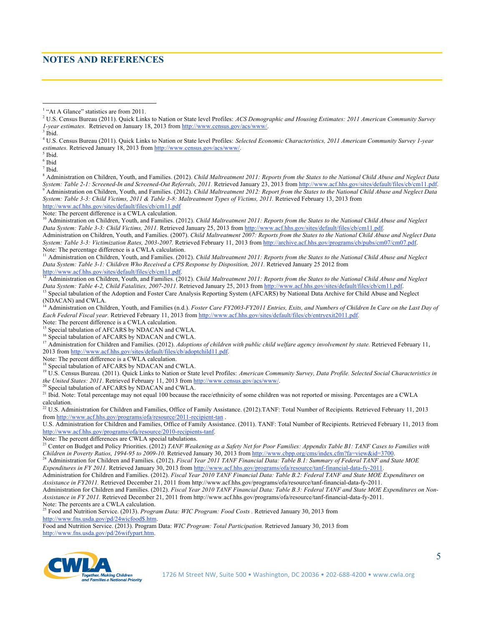#### **NOTES AND REFERENCES**

<sup>3</sup> Ibid.

6 Ibid  $<sup>7</sup>$  Ibid.</sup>

8 Administration on Children, Youth, and Families. (2012). *Child Maltreatment 2011: Reports from the States to the National Child Abuse and Neglect Data System: Table 2-1: Screened-In and Screened-Out Referrals, 2011.* Retrieved January 23, 2013 from http://www.acf.hhs.gov/sites/default/files/cb/cm11.pdf. 9 Administration on Children, Youth, and Families. (2012). *Child Maltreatment 2012: Report from the States to the National Child Abuse and Neglect Data System: Table 3-3: Child Victims, 2011 & Table 3-8: Maltreatment Types of Victims, 2011.* Retrieved February 13, 2013 from http://www.acf.hhs.gov/sites/default/files/cb/cm11.pdf

Note: The percent difference is a CWLA calculation.

<sup>10</sup> Administration on Children, Youth, and Families. (2012). *Child Maltreatment 2011: Reports from the States to the National Child Abuse and Neglect Data System: Table 3-3: Child Victims, 2011.* Retrieved January 25, 2013 from http://www.acf.hhs.gov/sites/default/files/cb/cm11.pdf. Administration on Children, Youth, and Families. (2007). *Child Maltreatment 2007: Reports from the States to the National Child Abuse and Neglect Data System: Table 3-3: Victimization Rates, 2003-2007.* Retrieved February 11, 2013 from http://archive.acf.hhs.gov/programs/cb/pubs/cm07/cm07.pdf. Note: The percentage difference is a CWLA calculation.

<sup>11</sup> Administration on Children, Youth, and Families. (2012). *Child Maltreatment 2011: Reports from the States to the National Child Abuse and Neglect Data System: Table 3-1: Children Who Received a CPS Response by Disposition, 2011.* Retrieved January 25 2012 from <br>http://www.acf.hhs.gov/sites/default/files/cb/cm11.pdf.<br> $\frac{12 \text{ A}}{24 \text{ d}}$ 

<sup>12</sup> Administration on Children, Youth, and Families. (2012). *Child Maltreatment 2011: Reports from the States to the National Child Abuse and Neglect Data System: Table 4-2, Child Fatalities, 2007-2011.* Retrieved Janu

<sup>13</sup> Special tabulation of the Adoption and Foster Care Analysis Reporting System (AFCARS) by National Data Archive for Child Abuse and Neglect (NDACAN) and CWLA.

14 Administration on Children, Youth, and Families (n.d.). *Foster Care FY2003-FY2011 Entries, Exits, and Numbers of Children In Care on the Last Day of Each Federal Fiscal year.* Retrieved February 11, 2013 from http://www.acf.hhs.gov/sites/default/files/cb/entryexit2011.pdf.

Note: The percent difference is a CWLA calculation.

Special tabulation of AFCARS by NDACAN and CWLA.

<sup>16</sup> Special tabulation of AFCARS by NDACAN and CWLA.

<sup>17</sup> Administration for Children and Families. (2012). *Adoptions of children with public child welfare agency involvement by state*. Retrieved February 11, 2013 from http://www.acf.hhs.gov/sites/default/files/cb/adoptchild11.pdf.

Note: The percent difference is a CWLA calculation.

<sup>18</sup> Special tabulation of AFCARS by NDACAN and CWLA.

<sup>19</sup> U.S. Census Bureau. (2011). Quick Links to Nation or State level Profiles: American Community Survey, Data Profile. Selected Social Characteristics in *the United States: 2011*. Retrieved February 11, 2013 from http://www.census.gov/acs/www/.<br><sup>20</sup> Special television 6.1 FIGLY0.1 For the Figure 20 Special television of the FIGLY0.

Special tabulation of AFCARS by NDACAN and CWLA.

<sup>21</sup> Ibid. Note: Total percentage may not equal 100 because the race/ethnicity of some children was not reported or missing. Percentages are a CWLA calculation.

22 U.S. Administration for Children and Families, Office of Family Assistance. (2012).TANF: Total Number of Recipients*.* Retrieved February 11, 2013 from http://www.acf.hhs.gov/programs/ofa/resource/2011-recipient-tan .

U.S. Administration for Children and Families, Office of Family Assistance. (2011). TANF: Total Number of Recipients. Retrieved February 11, 2013 from http://www.acf.hhs.gov/programs/ofa/resource/2010-recipients-tanf.

Note: The percent differences are CWLA special tabulations.

23 Center on Budget and Policy Priorities. (2012) *TANF Weakening as a Safety Net for Poor Families: Appendix Table B1: TANF Cases to Families with Children in Poverty Ratios, 1994-95 to 2009-10.* Retrieved January 30, 2013 from http://www.cbpp.org/cms/index.cfm?fa=view&id=3700.

<sup>24</sup> Administration for Children and Families. (2012). *Fiscal Year 2011 TANF Financial Data: Table B.1: Summary of Federal TANF and State MOE Expenditures in FY 2011.* Retrieved January 30, 2013 from http://www.acf.hhs.gov/programs/ofa/resource/tanf-financial-data-fy-2011.

Administration for Children and Families. (2012). *Fiscal Year 2010 TANF Financial Data: Table B.2: Federal TANF and State MOE Expenditures on Assistance in FY2011.* Retrieved December 21, 2011 from http://www.acf.hhs.gov/programs/ofa/resource/tanf-financial-data-fy-2011.

Administration for Children and Families. (2012). *Fiscal Year 2010 TANF Financial Data: Table B.3: Federal TANF and State MOE Expenditures on Non-Assistance in FY 2011.* Retrieved December 21, 2011 from http://www.acf.hhs.gov/programs/ofa/resource/tanf-financial-data-fy-2011. Note: The percents are a CWLA calculation.

25 Food and Nutrition Service. (2013). *Program Data: WIC Program: Food Costs .* Retrieved January 30, 2013 from http://www.fns.usda.gov/pd/24wicfood\$.htm.

Food and Nutrition Service. (2013). Program Data: *WIC Program: Total Participation.* Retrieved January 30, 2013 from http://www.fns.usda.gov/pd/26wifypart.htm.



 $\frac{1}{1}$ <sup>1</sup> "At A Glance" statistics are from 2011.

<sup>2</sup> U.S. Census Bureau (2011). Quick Links to Nation or State level Profiles: *ACS Demographic and Housing Estimates: 2011 American Community Survey 1-year estimates.* Retrieved on January 18, 2013 from http://www.census.gov/acs/www/.

<sup>4</sup> U.S. Census Bureau (2011). Quick Links to Nation or State level Profiles: *Selected Economic Characteristics, 2011 American Community Survey 1-year estimates.* Retrieved January 18, 2013 from http://www.census.gov/acs/www/.

<sup>&</sup>lt;sup>5</sup> Ibid.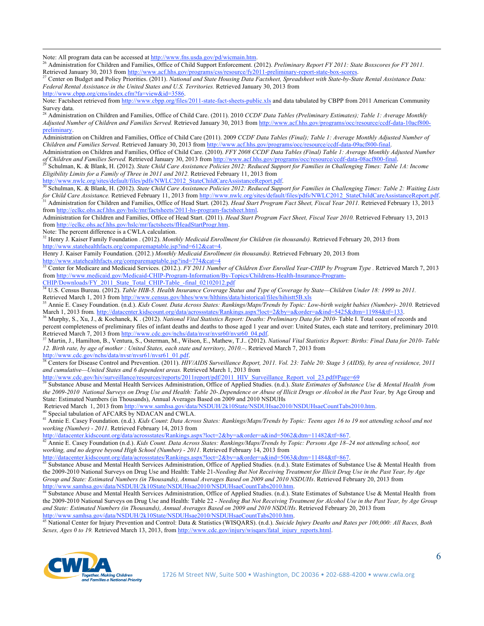Note: All program data can be accessed at http://www.fns.usda.gov/pd/wicmain.htm.<br><sup>26</sup> Administration for Children and Families, Office of Child Support Enforcement. (2012). Preliminary Report FY 2011: State Boxscores for Retrieved January 30, 2013 from http://www.acf.hhs.gov/programs/css/resource/fy2011-preliminary-report-state-box-scores.<br> $^{27}$  Center on Budget and Boliou Brigainics. (2011). Mail:  $^{27}$ 

27 Center on Budget and Policy Priorities. (2011). *National and State Housing Data Factsheet, Spreadsheet with State-by-State Rental Assistance Data: Federal Rental Assistance in the United States and U.S. Territories.* Retrieved January 30, 2013 from

http://www.cbpp.org/cms/index.cfm?fa=view&id=3586.

 $\overline{a}$ 

Note: Factsheet retrieved from http://www.cbpp.org/files/2011-state-fact-sheets-public.xls and data tabulated by CBPP from 2011 American Community Survey data.

28 Administration on Children and Families, Office of Child Care. (2011). 2010 *CCDF Data Tables (Preliminary Estimates); Table 1: Average Monthly Adjusted Number of Children and Families Served.* Retrieved January 30, 2013 from http://www.acf.hhs.gov/programs/occ/resource/ccdf-data-10acf800 preliminary.

Administration on Children and Families, Office of Child Care (2011). 2009 *CCDF Data Tables (Final); Table 1: Average Monthly Adjusted Number of Children and Families Served.* Retrieved January 30, 2013 from http://www.acf.hhs.gov/programs/occ/resource/ccdf-data-09acf800-final.

Administration on Children and Families, Office of Child Care. (2010). *FFY 2008 CCDF Data Tables (Final) Table 1: Average Monthly Adjusted Number of Children and Families Served. Retrieved January 30, 2013 from http://www.acf.hhs.gov/programs/occ/resource/ccdf-data-08acf800-final.<br><sup>29</sup> Sebulmen K. & Direk Streeved. Retrieved January 30, 2013 from http://www.acf.hhs* 

29 Schulman, K. & Blank, H. (2012). *State Child Care Assistance Policies 2012: Reduced Support for Families in Challenging Times: Table 1A: Income Eligibility Limits for a Family of Three in 2011 and 2012.* Retrieved February 11, 2013 from

http://www.nwlc.org/sites/default/files/pdfs/NWLC2012\_StateChildCareAssistanceReport.pdf.

30 Schulman, K. & Blank, H. (2012). *State Child Care Assistance Policies 2012: Reduced Support for Families in Challenging Times: Table 2: Waiting Lists*  for Child Care Assistance. Retrieved February 11, 2013 from http://www.nwlc.org/sites/default/files/pdfs/NWLC2012\_StateChildCareAssistanceReport.pdf.<br><sup>31</sup> Administration for Children and Families, Office of Head Start. (20

from http://eclkc.ohs.acf.hhs.gov/hslc/mr/factsheets/2011-hs-program-factsheet.html. Administration for Children and Families, Office of Head Start. (2011). *Head Start Program Fact Sheet, Fiscal Year 2010.* Retrieved February 13, 2013 from http://eclkc.ohs.acf.hhs.gov/hslc/mr/factsheets/fHeadStartProgr.htm.

Note: The percent difference is a CWLA calculation.

32 Henry J. Kaiser Family Foundation . (2012). *Monthly Medicaid Enrollment for Children (in thousands).* Retrieved February 20, 2013 from http://www.statehealthfacts.org/comparemaptable.jsp?ind=612&cat=4.

Henry J. Kaiser Family Foundation. (2012.) *Monthly Medicaid Enrollment (in thousands).* Retrieved February 20, 2013 from http://www.statehealthfacts.org/comparemaptable.jsp?ind=774&cat=4

Center for Medicare and Medicaid Services. (2012.). *FY 2011 Number of Children Ever Enrolled Year-CHIP by Program Type* . Retrieved March 7, 2013 from http://www.medicaid.gov/Medicaid-CHIP-Program-Information/By-Topics/Childrens-Health-Insurance-Program-CHIP/Downloads/FY\_2011\_State\_Total\_CHIP-Table\_-final\_02102012.pdf

<sup>34</sup> U.S. Census Bureau. (2012). *Table HIB-5. Health Insurance Coverage Status and Type of Coverage by State—Children Under 18: 1999 to 2011.*  Retrieved March 1, 2013 from http://www.census.gov/hhes/www/hlthins/data/historical/files/hihistt5B.xls

35 Annie E. Casey Foundation. (n.d.). *Kids Count. Data Across States: Rankings/Maps/Trends by Topic: Low-birth weight babies (Number)- 2010.* Retrieved March 1, 2013 from. http://datacenter.kidscount.org/data/acrossstates/Rankings.aspx?loct=2&by=a&order=a&ind=5425&dtm=11984&tf=133.<br><sup>36</sup> Murphy, S., Xu, J., & Kochanek, K. (2012). *National Vital Statistics Report: Deaths:* 

percent completeness of preliminary files of infant deaths and deaths to those aged 1 year and over: United States, each state and territory, preliminary 2010.<br>Retrieved March 7, 2013 from http://www.cdc.gov/nchs/data/nvsr

<sup>37</sup> Martin, J., Hamilton, B., Ventura, S., Osterman, M., Wilson, E., Mathew, T.J.. (2012). National Vital Statistics Report: Births: Final Data for 2010-Table *12. Birth rate, by age of mother : United States, each state and territory, 2010.–*. Retrieved March 7, 2013 from http://www.cdc.gov/nchs/data/nvsr/nvsr61/nvsr61\_01.pdf.

<sup>38</sup> Centers for Disease Control and Prevention. (2011). *HIV/AIDS Surveillance Report, 2011. Vol. 23: Table 20: Stage 3 (AIDS), by area of residence, 2011 and cumulative—United States and 6 dependent areas.* Retrieved March 1, 2013 from

http://www.cdc.gov/hiv/surveillance/resources/reports/2011report/pdf/2011\_HIV\_Surveillance\_Report\_vol\_23.pdf#Page=69

39 Substance Abuse and Mental Health Services Administration, Office of Applied Studies. (n.d.). *State Estimates of Substance Use & Mental Health from the 2009-2010 National Surveys on Drug Use and Health: Table 20-.Dependence or Abuse of Illicit Drugs or Alcohol in the Past Year,* by Age Group and State: Estimated Numbers (in Thousands), Annual Averages Based on 2009 and 2010 NSDUHs

Retrieved March 1, 2013 from http://www.samhsa.gov/data/NSDUH/2k10State/NSDUHsae2010/NSDUHsaeCountTabs2010.htm. 40 Special tabulation of AFCARS by NDACAN and CWLA.

41 Annie E. Casey Foundation. (n.d.). *Kids Count*: *Data Across States: Rankings/Maps/Trends by Topic: Teens ages 16 to 19 not attending school and not*  working (Number) - 2011. Retrieved February 14, 2013 from<br>
http://datacenter.kidscount.org/data/acrossstates/Rankings.aspx?loct=2&by=a&order=a&ind=5062&dtm=11482&tf=867.

<sup>42</sup> Annie E. Casey Foundation (n.d.). Kids Count. Data Across States: Rankings/Maps/Trends by Topic: Persons Age 18-24 not attending school, not *working, and no degree beyond High School (Number) - 2011.* Retrieved February 14, 2013 from

http://datacenter.kidscount.org/data/acrossstates/Rankings.aspx?loct=2&by=a&order=a&ind=5063&dtm=11484&tf=867.<br><sup>43</sup> Substance Abuse and Mental Health Services Administration, Office of Applied Studies. (n.d.). State Estima the 2009-2010 National Surveys on Drug Use and Health: Table 21-*Needing But Not Receiving Treatment for Illicit Drug Use in the Past Year, by Age Group and State: Estimated Numbers (in Thousands), Annual Averages Based on 2009 and 2010 NSDUHs*. Retrieved February 20, 2013 from

http://www.samhsa.gov/data/NSDUH/2k10State/NSDUHsae2010/NSDUHsaeCountTabs2010.htm.<br><sup>44</sup> Substance Abuse and Mental Health Services Administration, Office of Applied Studies. (n.d.). State Estimates of Substance Use & Menta the 2009-2010 National Surveys on Drug Use and Health: Table 22 - *Needing But Not Receiving Treatment for Alcohol Use in the Past Year, by Age Group and State: Estimated Numbers (in Thousands), Annual Averages Based on 2009 and 2010 NSDUHs*. Retrieved February 20, 2013 from http://www.samhsa.gov/data/NSDUH/2k10State/NSDUHsae2010/NSDUHsaeCountTabs2010.htm.

45 National Center for Injury Prevention and Control: Data & Statistics (WISQARS). (n.d.). *Suicide Injury Deaths and Rates per 100,000: All Races, Both Sexes, Ages 0 to 19.* Retrieved March 13, 2013, from http://www.cdc.gov/injury/wisqars/fatal\_injury\_reports.html.